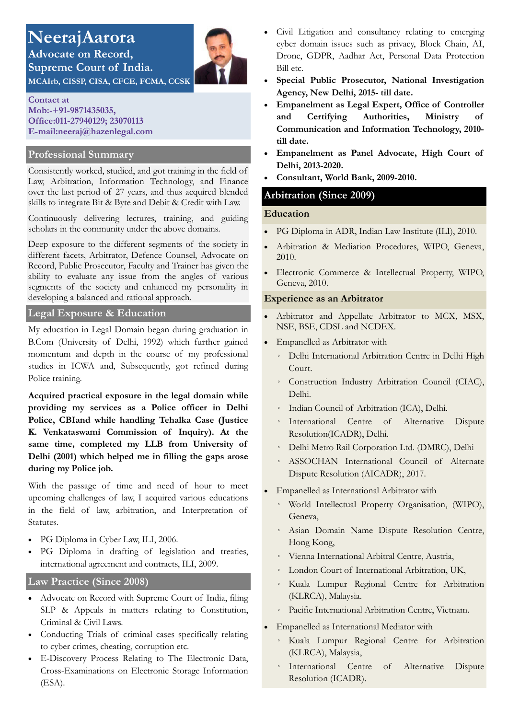# **NeerajAarora Advocate on Record,**

**Contact at Mob:-+91-9871435035, Office:011-27940129; 23070113 E-mail:neeraj@hazenlegal.com**

**Supreme Court of India.** 

### **Professional Summary**

Consistently worked, studied, and got training in the field of Law, Arbitration, Information Technology, and Finance over the last period of 27 years, and thus acquired blended skills to integrate Bit & Byte and Debit & Credit with Law.

Continuously delivering lectures, training, and guiding scholars in the community under the above domains.

Deep exposure to the different segments of the society in different facets, Arbitrator, Defence Counsel, Advocate on Record, Public Prosecutor, Faculty and Trainer has given the ability to evaluate any issue from the angles of various segments of the society and enhanced my personality in developing a balanced and rational approach.

#### **Legal Exposure & Education**

My education in Legal Domain began during graduation in B.Com (University of Delhi, 1992) which further gained momentum and depth in the course of my professional studies in ICWA and, Subsequently, got refined during Police training.

**Acquired practical exposure in the legal domain while providing my services as a Police officer in Delhi Police, CBIand while handling Tehalka Case (Justice K. Venkataswami Commission of Inquiry). At the same time, completed my LLB from University of Delhi (2001) which helped me in filling the gaps arose during my Police job.** 

With the passage of time and need of hour to meet upcoming challenges of law, I acquired various educations in the field of law, arbitration, and Interpretation of Statutes.

- PG Diploma in Cyber Law, ILI, 2006.
- PG Diploma in drafting of legislation and treaties, international agreement and contracts, ILI, 2009.

# **Law Practice (Since 2008)**

- Advocate on Record with Supreme Court of India, filing SLP & Appeals in matters relating to Constitution, Criminal & Civil Laws.
- Conducting Trials of criminal cases specifically relating to cyber crimes, cheating, corruption etc.
- E-Discovery Process Relating to The Electronic Data, Cross-Examinations on Electronic Storage Information (ESA).
- Civil Litigation and consultancy relating to emerging cyber domain issues such as privacy, Block Chain, AI, Drone, GDPR, Aadhar Act, Personal Data Protection Bill etc.
- **Special Public Prosecutor, National Investigation Agency, New Delhi, 2015- till date.**
- **Empanelment as Legal Expert, Office of Controller and Certifying Authorities, Ministry of Communication and Information Technology, 2010 till date.**
- **Empanelment as Panel Advocate, High Court of Delhi, 2013-2020.**
- **Consultant, World Bank, 2009-2010.**

# **Arbitration (Since 2009)**

#### **Education**

- PG Diploma in ADR, Indian Law Institute (ILI), 2010.
- Arbitration & Mediation Procedures, WIPO, Geneva, 2010.
- Electronic Commerce & Intellectual Property, WIPO, Geneva, 2010.

#### **Experience as an Arbitrator**

- Arbitrator and Appellate Arbitrator to MCX, MSX, NSE, BSE, CDSL and NCDEX.
- Empanelled as Arbitrator with
	- Delhi International Arbitration Centre in Delhi High Court.
	- Construction Industry Arbitration Council (CIAC), Delhi.
	- Indian Council of Arbitration (ICA), Delhi.
	- International Centre of Alternative Dispute Resolution(ICADR), Delhi.
	- Delhi Metro Rail Corporation Ltd. (DMRC), Delhi
	- ASSOCHAN International Council of Alternate Dispute Resolution (AICADR), 2017.
- Empanelled as International Arbitrator with
	- World Intellectual Property Organisation, (WIPO), Geneva,
	- Asian Domain Name Dispute Resolution Centre, Hong Kong,
	- Vienna International Arbitral Centre, Austria,
	- London Court of International Arbitration, UK,
	- Kuala Lumpur Regional Centre for Arbitration (KLRCA), Malaysia.
	- Pacific International Arbitration Centre, Vietnam.
- Empanelled as International Mediator with
	- Kuala Lumpur Regional Centre for Arbitration (KLRCA), Malaysia,
	- International Centre of Alternative Dispute Resolution (ICADR).

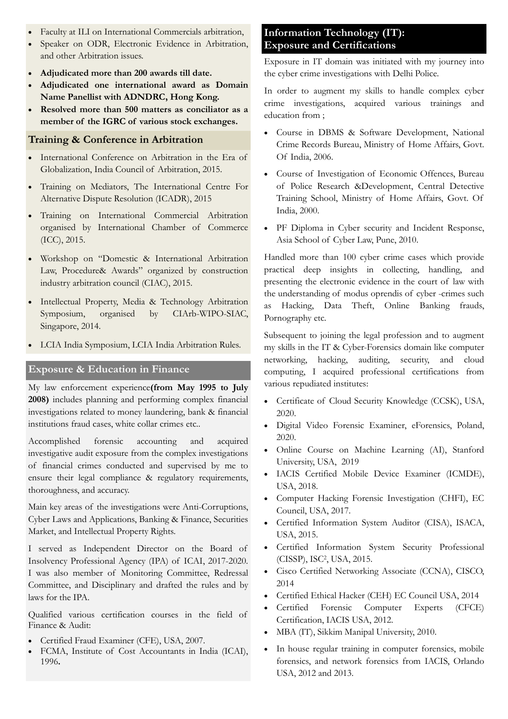- Faculty at ILI on International Commercials arbitration,
- Speaker on ODR, Electronic Evidence in Arbitration, and other Arbitration issues.
- **Adjudicated more than 200 awards till date.**
- **Adjudicated one international award as Domain Name Panellist with ADNDRC, Hong Kong.**
- **Resolved more than 500 matters as conciliator as a member of the IGRC of various stock exchanges.**

# **Training & Conference in Arbitration**

- International Conference on Arbitration in the Era of Globalization, India Council of Arbitration, 2015.
- Training on Mediators, The International Centre For Alternative Dispute Resolution (ICADR), 2015
- Training on International Commercial Arbitration organised by International Chamber of Commerce (ICC), 2015.
- Workshop on "Domestic & International Arbitration Law, Procedure& Awards" organized by construction industry arbitration council (CIAC), 2015.
- Intellectual Property, Media & Technology Arbitration Symposium, organised by CIArb-WIPO-SIAC, Singapore, 2014.
- LCIA India Symposium, LCIA India Arbitration Rules.

# **Exposure & Education in Finance**

My law enforcement experience**(from May 1995 to July 2008)** includes planning and performing complex financial investigations related to money laundering, bank & financial institutions fraud cases, white collar crimes etc..

Accomplished forensic accounting and acquired investigative audit exposure from the complex investigations of financial crimes conducted and supervised by me to ensure their legal compliance & regulatory requirements, thoroughness, and accuracy.

Main key areas of the investigations were Anti-Corruptions, Cyber Laws and Applications, Banking & Finance, Securities Market, and Intellectual Property Rights.

I served as Independent Director on the Board of Insolvency Professional Agency (IPA) of ICAI, 2017-2020. I was also member of Monitoring Committee, Redressal Committee, and Disciplinary and drafted the rules and by laws for the IPA.

Qualified various certification courses in the field of Finance & Audit:

- Certified Fraud Examiner (CFE), USA, 2007.
- FCMA, Institute of Cost Accountants in India (ICAI), 1996**.**

# **Information Technology (IT): Exposure and Certifications**

Exposure in IT domain was initiated with my journey into the cyber crime investigations with Delhi Police.

In order to augment my skills to handle complex cyber crime investigations, acquired various trainings and education from ;

- Course in DBMS & Software Development, National Crime Records Bureau, Ministry of Home Affairs, Govt. Of India, 2006.
- Course of Investigation of Economic Offences, Bureau of Police Research &Development, Central Detective Training School, Ministry of Home Affairs, Govt. Of India, 2000.
- PF Diploma in Cyber security and Incident Response, Asia School of Cyber Law, Pune, 2010.

Handled more than 100 cyber crime cases which provide practical deep insights in collecting, handling, and presenting the electronic evidence in the court of law with the understanding of modus oprendis of cyber -crimes such as Hacking, Data Theft, Online Banking frauds, Pornography etc.

Subsequent to joining the legal profession and to augment my skills in the IT & Cyber-Forensics domain like computer networking, hacking, auditing, security, and cloud computing, I acquired professional certifications from various repudiated institutes:

- Certificate of Cloud Security Knowledge (CCSK), USA, 2020.
- Digital Video Forensic Examiner, eForensics, Poland, 2020.
- Online Course on Machine Learning (AI), Stanford University, USA, 2019
- IACIS Certified Mobile Device Examiner (ICMDE), USA, 2018.
- Computer Hacking Forensic Investigation (CHFI), EC Council, USA, 2017.
- Certified Information System Auditor (CISA), ISACA, USA, 2015.
- Certified Information System Security Professional (CISSP), ISC<sup>2</sup> , USA, 2015.
- Cisco Certified Networking Associate (CCNA), CISCO, 2014
- Certified Ethical Hacker (CEH) EC Council USA, 2014
- Certified Forensic Computer Experts (CFCE) Certification, IACIS USA, 2012.
- MBA (IT), Sikkim Manipal University, 2010.
- In house regular training in computer forensics, mobile forensics, and network forensics from IACIS, Orlando USA, 2012 and 2013.